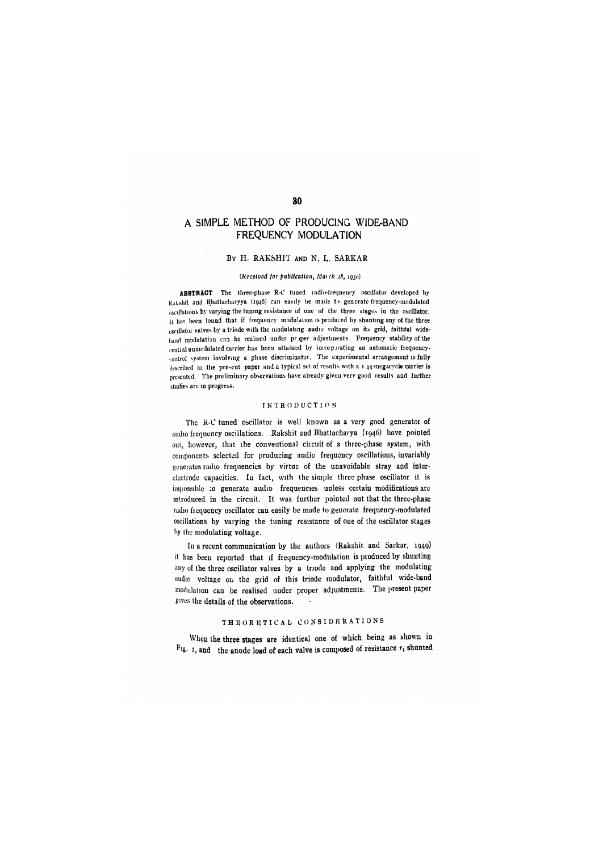# A SIMPLE METHOD OF PRODUCING WIDE-BAND **FREQUENCY MODULATION**

#### BY H. RAKSHIT AND N. L. SARKAR

#### *(Received for publication, Ma}ch 28,* 7950)

ABSTRACT The three-phase R-C tuned radio-frequenry oscillator developed by Rakshit and Bhattacharyya (1946) can easily be made to generate frequency-modulated oscillations by varying the tuning resistance of one of the three stages in the oscillator. IL has been found that if frequency inoduldtion is produced by shunting any of the three oscillator valves by a trindc with the modulating audio voltage on its grid, faithful wideband modulation can be realised under proper adjustments Frequency stability of the central unmodulated carrier has been attained by incorporating an automatic frequencytoutrol system involving a phase discriminator. The experimental arrangement is fully described in the present paper and a typical set of results with a i 44-megacycle carrier is presented. The preliminary observations have already given verv good results and further studies are in progress.

#### INTRODUCTION

The R'C tuned Obcillator is well known as a very good generator of audio frequency oscillations. Rakshit and Bhattacharya (1946) have pointed out, however, that the conventional ciicuit of a three-phase system, with components selected for producing audio frequency oscillations, invariably generates radio frequencies by virtue of the unavoidable stray and interelectrode capacities. In fact, with the simple three phase oscillator it is impossible :o generate audio frequencies unless certain modifications are introduced in the circuit. It was further pointed out that the three-phase radio fiequency oscillator can easily be made to generate frequency-modulated oscillations by varying the tuning resistance of one of the oscillator stages by the modulating voltage.

In a recent communication by the authors (Rakshit and Sarkar, 1949) it has been reported that if frequency-modulalion is produced by shunting any of the three oscillator valves by a triode and applying the modulating audio voltage on the grid of this triode modulator, faithful wide-band modulation can be realised under proper adjustments. The present paper gives the details of the observations.

#### THEORETICAL CONSIDERATIONS

When the three stages are identical one of which being as shown in Fig. 1, and the anode load of each valve is composed of resistance  $r_1$  shunted

30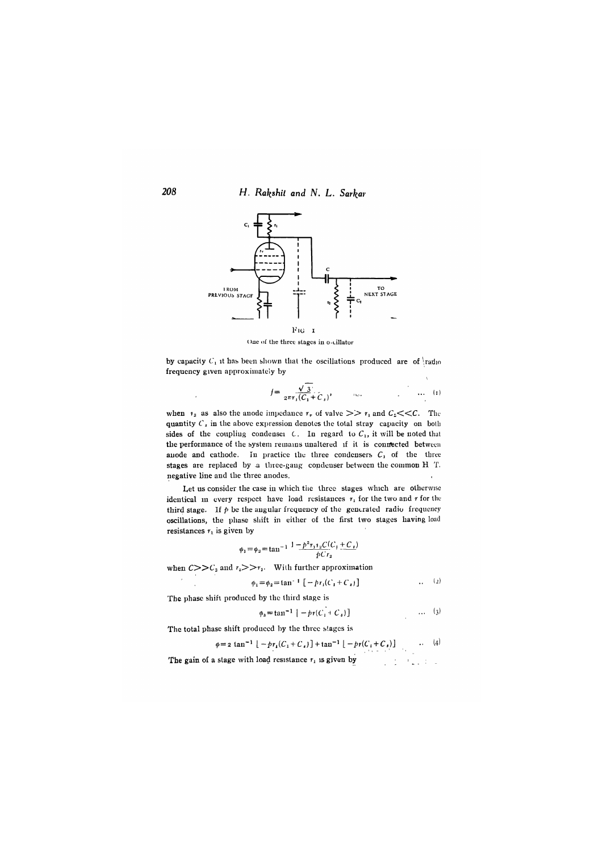**208 H. Rakshit and N. L. Sarkar** 



One of the three stages in o-cillator

by capacity  $C_1$  it has been shown that the oscillations produced are of  $\frac{1}{4}$ radio frequency given approximately by

$$
f = \frac{\sqrt{3}}{2\pi r_1 (C_1 + C_2)}, \qquad \dots \qquad \dots \qquad (1)
$$

when  $r_2$  as also the anode impedance  $r_v$  of valve  $\gg$   $r_1$  and  $C_z$ << C. The quantity *C\* in the above expression denotes the total stray capacity on both sides of the coupling condensei  $C$ . In regard to  $C_1$ , it will be noted that the performance of the system remains unaltered if it is conrected between anode and cathode. In practice the three condensers  $C_1$  of the three stages are replaced by a three-gang condenser between the common H T. negative line and the three anodes.

Let us consider the case in which the three stages which are otherwise identical in every respect have load resistances  $r_1$  for the two and r for the third stage. If  $p$  be the angular frequency of the generated radio frequency oscillations, the phase shift in either of the first two stages having load resistances  $r_1$  is given by

$$
\phi_1 = \phi_2 = \tan^{-1} \frac{1 - p^2 r_1 r_2 C(C_1 + C_3)}{p C r_2}
$$

when  $C>>C_2$  and  $r_2>>r_1$ . With further approximation

 $\phi_1 = \phi_2 = \tan^{-1} \left[ -\frac{b_r}{C_1 + C_2} \right]$  . (2)

The phase shift produced by the third stage is

$$
\phi_{3} = \tan^{-1} \left[ -p r (C_{1} + C_{3}) \right] \tag{3}
$$

The total phase shift produced by the three slagcs is

$$
\varphi = 2 \tan^{-1} \left[ -p r_1 (C_1 + C_1) \right] + \tan^{-1} \left[ -p r (C_1 + C_1) \right] \qquad \qquad (4)
$$

The gain of a stage with load resistance  $r_i$  is given by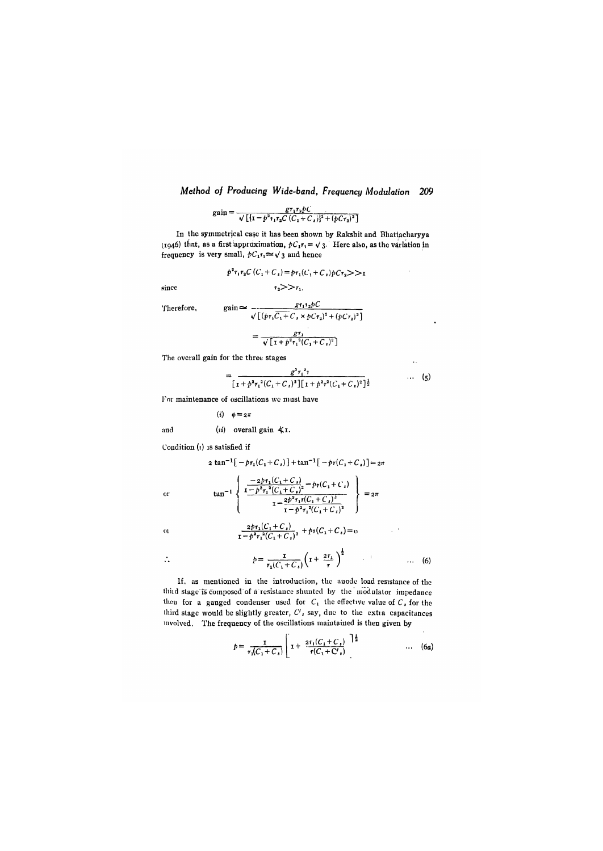$$
gain = \frac{gr_1r_2\hat{p}C}{\sqrt{[1-p^2r_1r_2C(C_1+C_1)]^2 + (pCr_2)^2]}}
$$

In the symmetrical case it has been shown by Rakshit and Bhattacharyya (1946) that, as a first approximation,  $pC_1r_1 = \sqrt{3}$ . Here also, as the variation in frequency is very small,  $pC_1r_1 \approx \sqrt{3}$  and hence

 $r_2 >> r_1$ .

$$
p^{2}r_{1}r_{2}C(C_{1}+C_{s})=pr_{1}(C_{1}+C_{s})pCr_{2}>>r
$$

since

Therefore,

$$
gain \simeq -\frac{gr_{1}^{1}2pC}{\sqrt{[(pr_{1}C_{1}+C_{1} \times pCr_{2})^{2}+(pCr_{2})^{2}]}}
$$

$$
= \frac{gr_1}{\sqrt{[1 + p^2 r_1^2 (C_1 + C_s)^2]}}
$$

The overall gain for the three stages

$$
= \frac{g^{3}r_{1}^{2} \gamma}{\left[1 + p^{2}r_{1}^{2}(C_{1} + C_{1})^{2}\right]\left[1 + p^{2}r^{2}(C_{1} + C_{1})^{2}\right]^{\frac{1}{2}}} \qquad \qquad \cdots \qquad (5)
$$

 $\overline{1}$ 

 $\sim 10^{11}$ 

Tor maintenance of oscillations \vc must have

$$
(i) \quad \phi = 2\pi
$$

and  $(ii)$  overall gain  $\text{\textless} 1$ .

tan

Condition  $(i)$  is satisfied if

$$
2 \tan^{-1}[-p\tau_1(C_1 + C_1)] + \tan^{-1}[-p\tau(C_1 + C_1)] = 2\pi
$$

 $-2pr_1(C_1 + C_4) =$ 

 $\mathbf{I} - p^2 r_1^2 (C_1 + C_1)$ 

$$
\mathbf{r}^{\parallel}
$$

 $\ddot{\mathbf{0}}$ 

 $\overline{0}$ 

 $\ddot{\cdot}$ 

 $\frac{2p_1(C_1-C_1)}{1-p^2\tau_1^2(C_1+C_1)^2} + p_1(C_1+C_1) = 0$ 

$$
p = \frac{1}{r_1(C_1 + C_1)} \left( 1 + \frac{2r_1}{r} \right)^{\frac{1}{2}} \qquad \qquad \dots \quad (6)
$$

 $I - p^2 r_1^2 (C_1 + C_s)$ 

If. as mentioned in the introduction, the anode load resistance of the thiid stage is composed of a resistance shunted by the modulator impedance then for a gauged condenser used for  $C_1$  the effective value of  $C_2$ , for the third stage would be slightly greater,  $C'$ , say, due to the extra capacitances involved. The frequency of the oscillations maintained is then given by

$$
p = \frac{1}{r_1(C_1 + C_1)} \left[ 1 + \frac{2r_1(C_1 + C_1)}{r(C_1 + C_1)} \right]^{\frac{1}{2}} \qquad \qquad \dots \quad (6a)
$$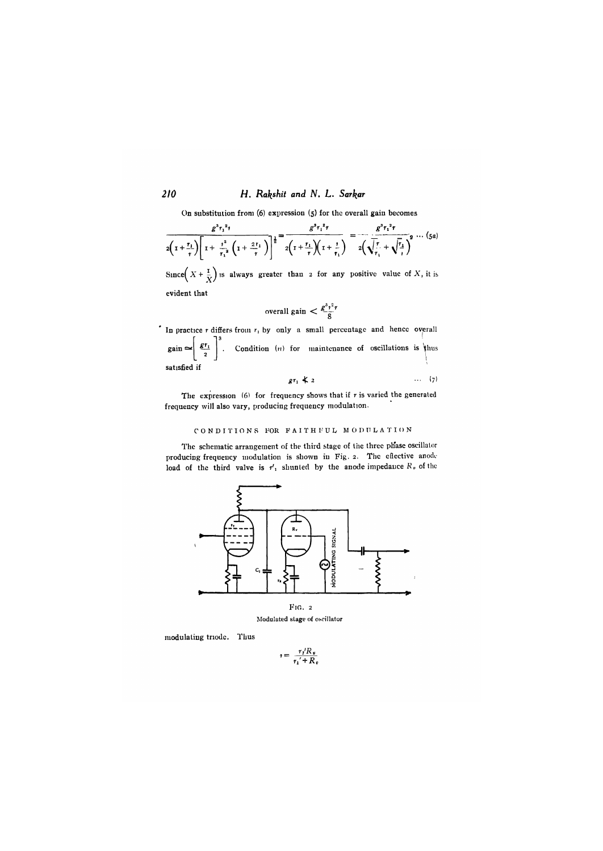# *210 H. Rakshit and N, L. Sarkar*

On substitution from  $(6)$  expression  $(5)$  for the overall gain becomes

$$
\frac{g^{3}r_{1}^{2}r}{2\left(1+\frac{r_{1}}{r}\right)\left[1+\frac{r^{2}}{r_{1}^{2}}\left(1+\frac{2r_{1}}{r}\right)\right]^{2}}=\frac{g^{3}r_{1}^{2}r}{2\left(1+\frac{r_{1}}{r}\right)\left(1+\frac{r}{r_{1}}\right)}=\frac{g^{3}r_{1}^{2}r}{2\left(\sqrt{\frac{r}{r_{1}}}+\sqrt{\frac{r_{2}}{r}}\right)^{2}}\cdots (5a)
$$

Since  $\left(X + \frac{1}{X}\right)$  is always greater than 2 for any positive value of X, it is

evident that

$$
\text{overall gain} < \frac{g^3 r^2 r}{8}
$$

In practice  $r$  differs from  $r_1$  by only a small percentage and hence overall  $\left| \right|$  gain  $\approx$ satisfied if  $\frac{g_{\tau_1}}{2}$ . Condition (*n*) for maintenance of oscillations is thus

$$
gr_1 \nless 2 \qquad \qquad \cdots \qquad \qquad (7)
$$

The expression (6) for frequency shows that if  $r$  is varied the generated frequency will also vary, producing frequency modulation.

### CONDITIONS FOR FAITHFUL MODULATION

The schematic arrangement of the third stage of the three phase oscillator producing frequency modulation is shown in Fig. 2. The eilective anode load of the third valve is  $r'_1$  shunted by the anode impedance  $R_v$  of the



]\roduIated stage of osc'illator

modulating triodc. Thus

 $r = \frac{r_I'R_v}{r_I' + R_v}$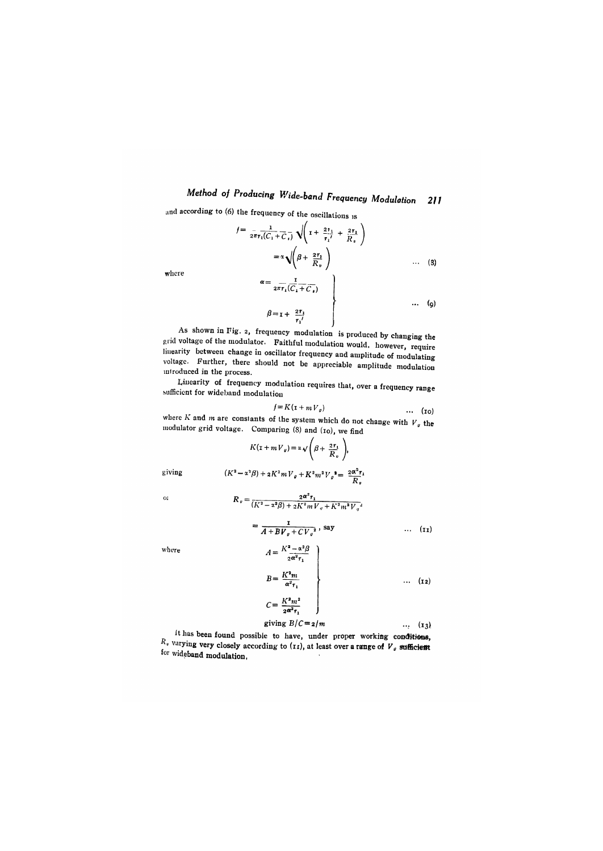and according to (6) the frequency of the oscillations is

$$
f = \frac{1}{2\pi r_1 (C_1 + C_1)} \sqrt{\left(1 + \frac{2r_1}{r_1'} + \frac{2r_1}{R_1}\right)}
$$
  

$$
= \alpha \sqrt{\left(\beta + \frac{2r_1}{R_1}\right)}
$$
 ... (3)  

$$
\alpha = \frac{1}{2\pi r_1 (C_1 + C_1)}
$$

where

$$
\beta = \mathbf{I} + \begin{array}{c} 2r_1 \\ r_1 \end{array}
$$
\nAs shown in Fig. 2, frequency modulation is produced by changing the voltage of the modulator. Faithful modulation would, however, require

grid voltage of the modulator. Faithful modulation would, however, require<br>linearity between change in oscillator frequency and amplitude of modulating linearly between enange in oscillator frequency and amplitude of modulating voltage. Furtiler, there should not be appreciable amplitude modulation mtroduced in the process.

Linearity of frequency modulation requires that, over a frequency range sufficient for wideband modulation

$$
f = K(\mathbf{1} + m V_g) \tag{10}
$$

where *K* and *in* are constants of the system which do not change with *V* the modulator grid voltage. Comparing (8) and (10), we find<br>  $K(x + mV_{\nu}) = \alpha \sqrt{\beta + \frac{2r_1}{R}}$ ,

$$
K(\mathbf{x} + mV_{v}) = \alpha \sqrt{\beta + \frac{2r_{1}}{R_{v}}},
$$

giving

$$
(K^{2} - \alpha^{2}\beta) + 2K^{2}mV_{g} + K^{2}m^{2}V_{g}^{*} = \frac{2\alpha^{2}r_{1}}{R_{g}}
$$

$$
R_{g} = \frac{2\alpha^{2}r_{1}}{(K^{2} - \alpha^{2}\beta) + 2K^{2}mV_{g} + K^{2}m^{2}V_{g}}
$$

 $\alpha$ 

$$
(K - x-p) + 2K \cdot mV_{q} + K^{*}m^{2}V_{q}^{2}
$$
  
= 
$$
\frac{1}{2}
$$

where

$$
A = \frac{1}{A + B V_{\theta} + C V_{\theta}^{2}} \text{ say} \qquad \qquad \dots \quad \text{(11)}
$$
\n
$$
A = \frac{K^{2} - \alpha^{2} \beta}{2 \alpha^{2} \tau_{1}}
$$

$$
B = \frac{K^2 m}{\alpha^2 \tau_1}
$$
  
\n
$$
C = \frac{K^2 m^2}{2\alpha^2 \tau_1}
$$
  
\n
$$
C = \frac{1}{2\alpha^2 \tau_1}
$$
  
\n
$$
C = 2/m
$$
  
\n... (12)

it has been found possible to have, under proper working conditions,  $R_v$  varying very closely according to  $(r_1)$ , at least over a range of  $V_g$  sufficient for wideband modulation,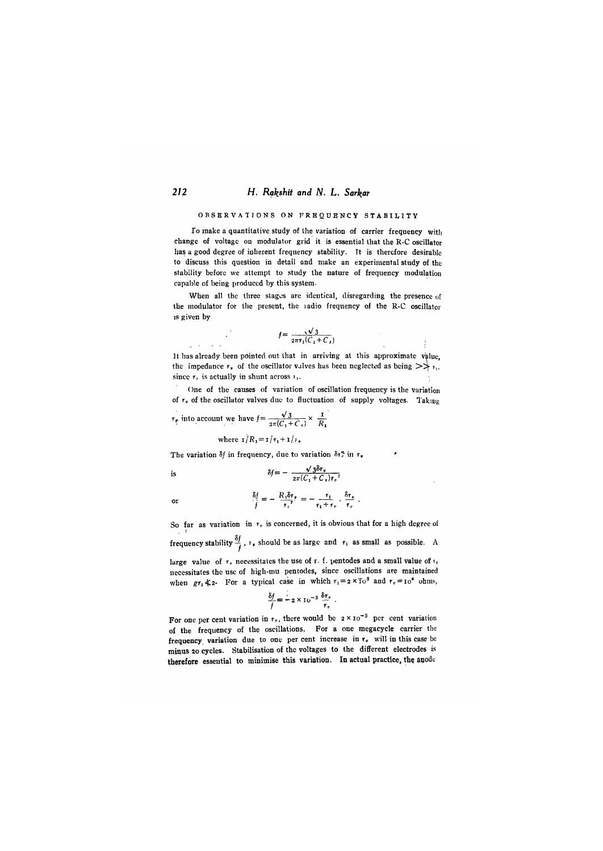#### **2/2** *H. Rqkshit and N- L. Sarl^ar*

#### OBSERVATIONS ON FREQUENCY STABILITY

To make a quantilalive study of the variation of carrier frequency witli change of voltage on modulator grid it is essential that the R-C oscillator has a good degree of inherent frequency stability. Tt is therefore desirable to discuss this question in detail and make an experimental study of the stability before we attempt to study the nature of frequency modulation capable of being produced by this system-

When all the three stages are identical, disregarding the presence of the modulator for the present, the ladio frequency of the R-C oscillator IS given by

$$
f = \frac{1}{2\pi\tau_1(C_1 + C_s)}
$$

It has already been pointed out that in arriving at this approximate value, the impedance  $r_r$ , of the oscillator valves has been neglected as being  $\gg r_{1}$ . since  $r_i$ , is actually in shunt across  $r_i$ .

One of the causes of variation of oscillation frequency is the variation of  $r<sub>v</sub>$  of the oscillator valves due to fluctuation of supply voltages. Taking

$$
r_p
$$
 into account we have  $f = \frac{\sqrt{3}}{2\pi (C_1 + C_2)} \times \frac{1}{R_1}$ 

where  $\mathbf{i}/R_1 = \mathbf{i}/r_1 + \mathbf{i}/r_2$ .

The variation  $\delta f$  in frequency, due to variation  $\delta r_r^*$  in  $r_r$ 

is 
$$
\delta f = -\frac{\sqrt{3}\delta r_v}{2\pi (C_1 + C_3) r_v^2}
$$

or

So far as variation in  $r<sub>r</sub>$  is concerned, it is obvious that for a high degree of frequency stability  $\frac{\delta f}{f}$ ,  $\theta$ , should be as large and  $\theta$  as small as possible. A

 $\delta t = -\frac{R_1 \delta r_v}{r} = -\frac{r_1}{r}$ *f*  $r_i^2$   $r_1+r$ 

large value of  $\tau_r$  necessitates the use of r. f. pentodes and a small value of  $\tau_1$ necessitates the use of high-mu pentodes, since oscillations are maintained when  $gr_1 \nless 2$ - For a typical case in which  $r_1 = 2 \times \overline{10}^8$  and  $r_v = 10^6$  ohms,

$$
\frac{\delta f}{f} = -2 \times 10^{-3} \frac{\delta r_r}{r_r} \ .
$$

For one per cent variation in  $r_v$ , there would be  $2 \times 10^{-3}$  per cent variation of the frequency of the oscillations. For a one megacycle carrier the frequency variation due to one per cent increase in  $r_v$  will in this case be minus 20 cycles. Stabilisation of the voltages to the different electrodes therefore essential to minimise this variation. In actual practice, the anode

 $\frac{1}{2}$  ,  $\frac{1}{2}$  ,  $\frac{1}{2}$  ,  $\frac{1}{2}$  ,  $\frac{1}{2}$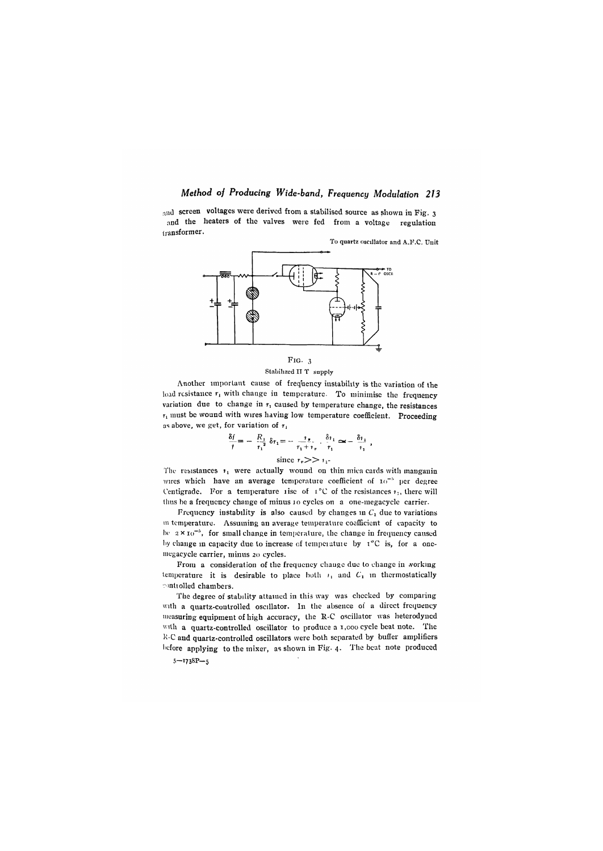and screen voltages were derived from a stabilised source as shown in Fig. 3 and the heaters of the valves were fed from a voltage regulation transformer.

To quartz oscillator and A .F.C. Unit





Another important cause of frequency instability is the variation of the load resistance  $r_1$  with change in temperature. To minimise the frequency variation due to change in  $r_1$  caused by temperature change, the resistances  $r_1$  must be wound with wires having low temperature coefficient. Proceeding as above, we get, for variation of  $r_1$ 

$$
\frac{\delta f}{t} = -\frac{R_1}{r_1^2} \delta r_1 = -\frac{r_2}{r_1 + r_1} \cdot \frac{\delta r_1}{r_1} \approx -\frac{\delta r_1}{r_1} ,
$$

since  $r_n \geq r_1$ 

The resistances  $r_1$  were actually wound on thin mica cards with manganin wires which have an average temperature coefficient of 10<sup>-5</sup> per degree Centigrade. For a temperature rise of  $I^{\circ}C$  of the resistances  $i_{1}$ , there will thus be a frequency change of minus 10 cycles on a one-megacycle carrier.

Frequency instability is also caused by changes in  $C_1$  due to variations 111 temperature. Assuming an average temperatuie coefficient of capacity to be  $2 \times 10^{-3}$ , for small change in temperature, the change in frequency caused by change in capacity due to increase of temperature by  $\tau$ <sup>o</sup>C is, for a oneniegacycle carrier, minus 20 cycles.

From a consideration of the frequency change due to change in working temperature it is desirable to place both  $r_1$  and  $C_1$  in thermostatically -')ntioiled chambers.

The degree of stability attained in this way was checked by comparing with a quartz-controlled oscillator. In the absence of a direct frequency measuring equipment of high accuracy, the R-C oscillator was heterodyned with a quartz-controlled oscillator to produce a 1,000 cycle beat note. The  $k$ -C and quartz-controlled oscillators were both separated by buffer amplifiers before applying to the mixer, as shown in Fig. 4. The beat note produced

 $5 - 738P - 5$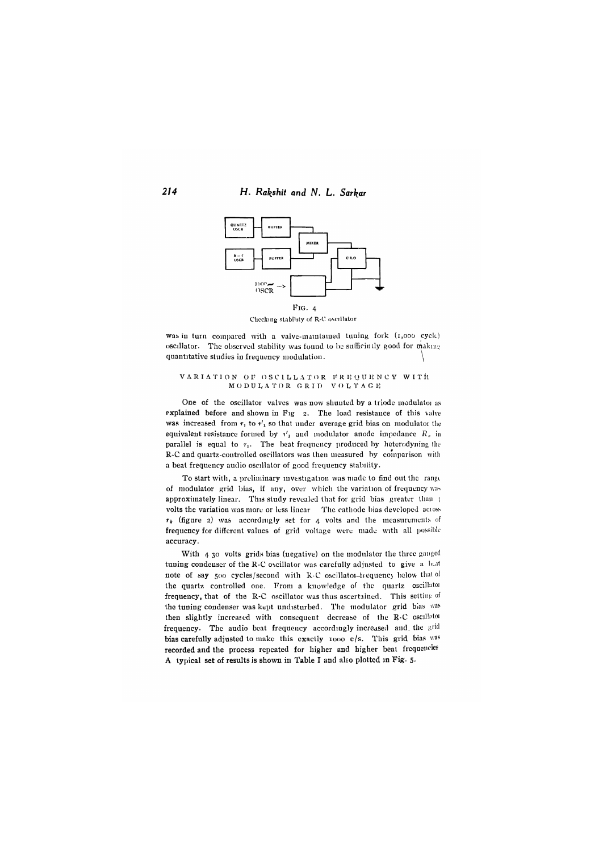*214* **H.** *Rakshit and N,* **L.** *Sar^ar*



Checking stability of R-C oscillator

was in turn compared with a valve-maintained tuning fork (1,000 cycle) oscillator. The observed stability was found to be sufficiatly good for making quantitative studies in frequency modulation.

#### VARIATION OF OSCILLATOR FREQUENCY WITH M O D U L A T O R G R I D – V O L T A G E

One of the oscillator valves was now shunted by a triode modulator as explained before and shown in Fig 2. The load resistance of this valve was increased from  $r_1$  to  $r'_1$  so that under average grid bias on modulator the equivalent resistance formed by  $i'_1$  and modulator anode impedance  $R_n$  in parallel is equal to  $r_1$ . The beat frequency produced by heterodyning the R-C and quartz-controlled oscillators was then measured by comparison with a beat frequency audio oscillator of good frequency stability.

To start with, a preliminary investigation was made to find out the rangi of modulator grid bias, if any, over which the variation of frequency was approximately linear. This study revealed that for grid bias greater than 1 volts the variation was more or less linear The cathode bias developed acioss  $r_k$  (figure 2) was accordingly set for  $\mu$  volts and the measurements of frequency for different values of grid voltage were made with all possible accuracy.

With  $4,30$  volts grids bias (negative) on the modulator the three ganged tuning condenser of the R-C oscillator was carefully adjusted to give a beat note of say 500 cycles/second with R-C oscillatoi-trequency below that of the quartz controlled one. From a knowledge of the quartz oscillatoi frequency, that of the R-C oscillator was thus ascertained. This setting of the tuning condenser was kept undisturbed. The modulator grid bias was then slightly increased with consequent decrease of the R-C oscillatoi frequency. The audio beat frequency accordingly increased and the grid bias carefully adjusted to make this exactly  $1000 \text{ c/s}$ . This grid bias was recorded and the process repeated for higher and higher beat frequencies A typical set of results is shown in Table I and also plotted in Fig- 5-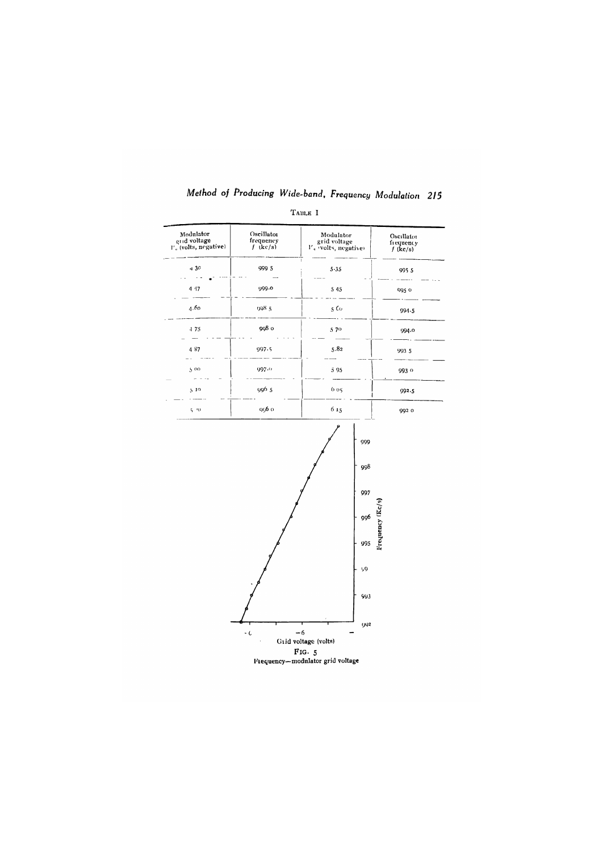| Modulator<br>Oscillator<br>grid voltage<br>frequency<br>I', (volts, negative)<br>$f$ (kc/s) |                      | Modulator<br>grid voltage<br>$V_q$ volts, negative | Oscillator<br>frequency<br>$f$ (kc/s) |  |  |
|---------------------------------------------------------------------------------------------|----------------------|----------------------------------------------------|---------------------------------------|--|--|
| 430                                                                                         | 999 5                | 5.35                                               | 9955                                  |  |  |
| 4 17                                                                                        | 999.0                | 5 4 5                                              | 095 0                                 |  |  |
| 4.60                                                                                        | 998.5                | $_5$ $\epsilon$ $\!$                               | $994 - 5$                             |  |  |
| $-175$                                                                                      | 998 o                | 570                                                | 994.0                                 |  |  |
| 487                                                                                         | 997.5                | 5.82                                               | 993 5                                 |  |  |
| 5.00                                                                                        | 997.0                | 595                                                | 9930                                  |  |  |
| 5.10                                                                                        | 9965                 | 605                                                | 992.5                                 |  |  |
| $5 - 70$                                                                                    | 956 o                | 615                                                | 992 0                                 |  |  |
|                                                                                             |                      | 997<br>996<br>995<br>99<br>993                     | Frequency (Kc/s)                      |  |  |
|                                                                                             | $\ddot{\phantom{0}}$ | <b>992</b><br>$-6$<br>Grid voltage (volts)         |                                       |  |  |

TABLE I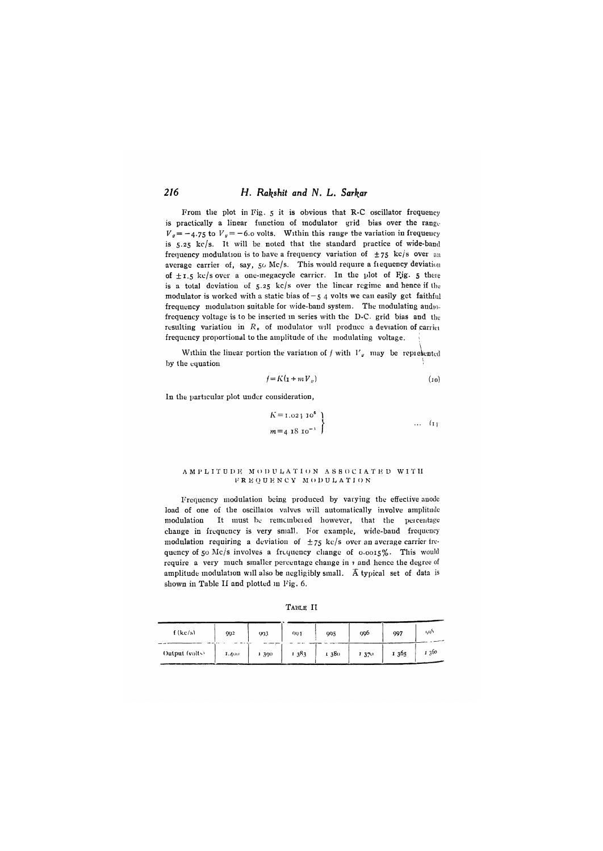### **2/6** *H, Ral^shit and N, L, Sarkar*

From the plot in Fig. 5 it is obvious that R-C oscillator frequency is practically a linear function of modulator grid bias over the range- $V_g = -4.75$  to  $V_g = -6.0$  volts. Within this range the variation in frequency is  $5.25$  kc/s. It will be noted that the standard practice of wide-band frequency modulation is to have a frequency variation of  $\pm 75$  kc/s over an average carrier of, say, 50 Mc/s. This would require a fiequency deviation of  $\pm$  1.5 kc/s over a one-megacycle carrier. In the plot of Fig. 5 there is a total deviation of  $5.25$  kc/s over the linear regime and hence if the modulator is worked with a static bias of  $-5$  4 volts we can easily get faithful frequency modulation suitable for wide-band system. The modulating audiofrequency voltage is to be inserted m series with the D-C. grid bias and the resulting variation in  $R_{\nu}$  of modulator will produce a deviation of carrier frequency proportional to the amplitude of the modulating voltage.

Within the linear portion the variation of  $f$  with  $V_g$  may be represented by the equation

$$
f = K(\mathbf{1} + m V_{\theta}) \tag{10}
$$

In the particular plot under consideration,

$$
\begin{array}{c}\nK=1.02 \downarrow 10^6 \\
m=4 \, 18 \, 10^{-1}\n\end{array}
$$
 ... (1)

#### A M 1» k I T U I) K M O I) U k A T 1 0 N A S S O C I A T *h)* D W I T II 1' R K Q U K N C Y M () D U k A T I O N

I'requcncy modulation being produced by varying the effective anode load of one of the oscillator valves will automatically involve amplitude modulation It must be remcmbeied however, that the peicentage change in frequency is very small. For example, wide-band frequency modulation requiring a deviation of  $\pm 75$  kc/s over an average carrier frequency of 50 Mc/s involves a frequency change of 0.0015%. This would require a very much smaller percentage change in  $\imath$  and hence the degree of amplitude modulation will also be negligibly small.  $\overline{A}$  typical set of data is shown in Table II and plotted in Fig. 6.

TABLE II

| f(kc/s)        | 992   | 993   | QQ 1 | 995  | 996  | 997  | らい    |
|----------------|-------|-------|------|------|------|------|-------|
| Output (volts) | 1.400 | 1 390 | 1383 | 1380 | 1370 | 1365 | 1.360 |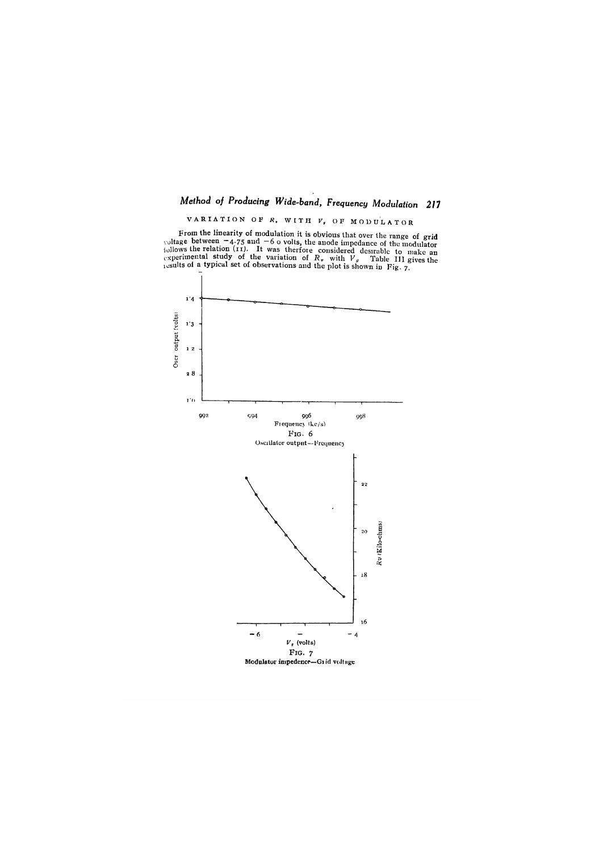V A R I A T I O N OF *K,* **WITH** *V "* OF MODUI^ATOR

From the imeanity of modulation it is obvious that over the range of grid<br>voltage between  $-4.75$  and  $-6$  ovolts, the anode impedance of the modulator<br>displays the relation (11). It was therfore considered desirable to m

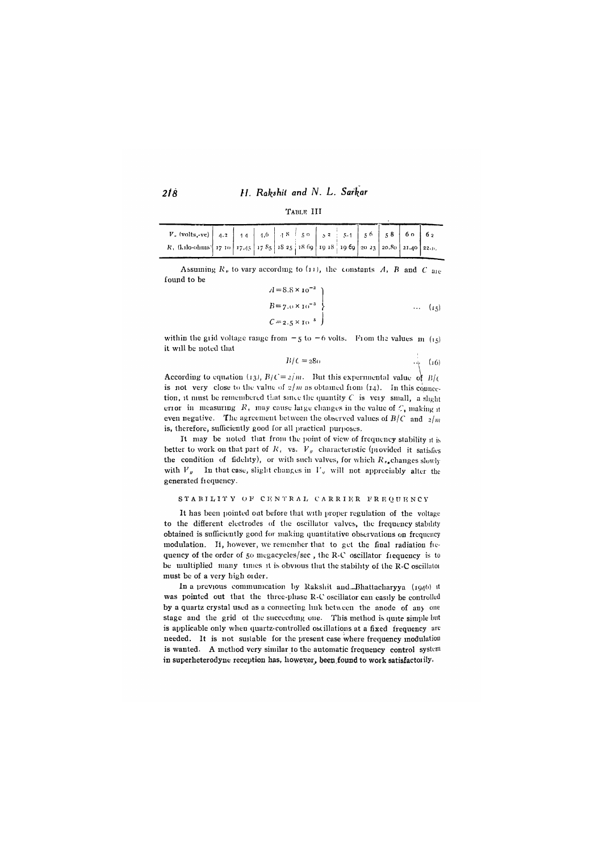#### *H. Rakshit and N. L. Sarkar*

| TABLE III |  |  |
|-----------|--|--|
|           |  |  |

| $V_*$ (volts,-ve)   4.2   14   1,6   18   50   52   51   56   58   60   62          |  |  |  |  |  |
|-------------------------------------------------------------------------------------|--|--|--|--|--|
| R, (kilo-ohins) 17 10 17, 45 17 85 18 25 18 69 19 18 19 69 20 23 20.80 21.40 22.11. |  |  |  |  |  |

Assuming  $R<sub>v</sub>$  to vary according to (11), the constants *A*, *B* and *C* are found to be  $\frac{1}{2}$   $\frac{1}{2}$   $\frac{1}{2}$   $\frac{1}{2}$   $\frac{1}{2}$   $\frac{1}{2}$   $\frac{1}{2}$   $\frac{1}{2}$   $\frac{1}{2}$   $\frac{1}{2}$   $\frac{1}{2}$   $\frac{1}{2}$   $\frac{1}{2}$   $\frac{1}{2}$   $\frac{1}{2}$   $\frac{1}{2}$   $\frac{1}{2}$   $\frac{1}{2}$   $\frac{1}{2}$   $\frac{1}{2}$   $\frac{1}{2}$   $\frac{1}{2}$ 

$$
A = 8.8 \times 10^{-3}
$$
  
\n
$$
B = 7.0 \times 10^{-3}
$$
  
\n
$$
C = 2.5 \times 10^{-5}
$$
 ... (15)

within the grid voltage range from  $-5$  to  $-6$  volts. From the values  $m/(r<sub>5</sub>)$ it will be noted that

$$
B/C = 28\sigma \qquad (16)
$$

According to equation (13),  $B/C = 2/m$ . But this experimental value of  $B/C$ is not very close to the value of  $\frac{2}{m}$  as obtained from (14). In this connection, it must be remembered that since the quantity  $C$  is very small, a slight erior in measuring  $R_1$ , may cause laige changes in the value of  $C_1$  making it even negative. The agreement between the observed values of  $B/C$  and  $2/m$ is, therefore, sufficiently good for all practical purposes.

It may be noted that from the point of view of frequency stability it is better to work on that part of  $R_i$  vs.  $V_g$  characteristic (piovided it satisfies the condition of fidelity), or with such valves, for which  $R_{n_e}$ changes slowly with  $V_y$ . In that case, slight changes in  $V_y$  will not appreciably alter the generated frequency.

#### STABILITY OF CENTRAL CARRIER FREQUENCY

It has been pointed out before that with proper regulation of the voltage to the different electrodes of the oscillator valves, the frequency stability obtained is sufficiently good for making quantitative observations on frequency modulation. It, however, we remember that to get the final radiation fiequency of the order of 50 megacycles/sec, the R-C oscillator fiequency is to be multiplied many times it is obvious that the stability of the R-C oscillatoi must be of a very high oider.

In a previous communication by Rakshit and Bhattacharyya (1946) it was pointed out that the three-phase R-C oscillator can easily be controlled by a quartz crystal used as a connecting link between the anode of any one stage and the grid of the succeeding one. This method is quite simple but is applicable only when quartz-controlled oscillations at a fixed frequency are needed. It is not suitable for the present case where frequency modulation is wanted. A method very similar to the automatic frequency control system in superheterodyne reception has, however, been found to work satisfactoily.

*2 l8*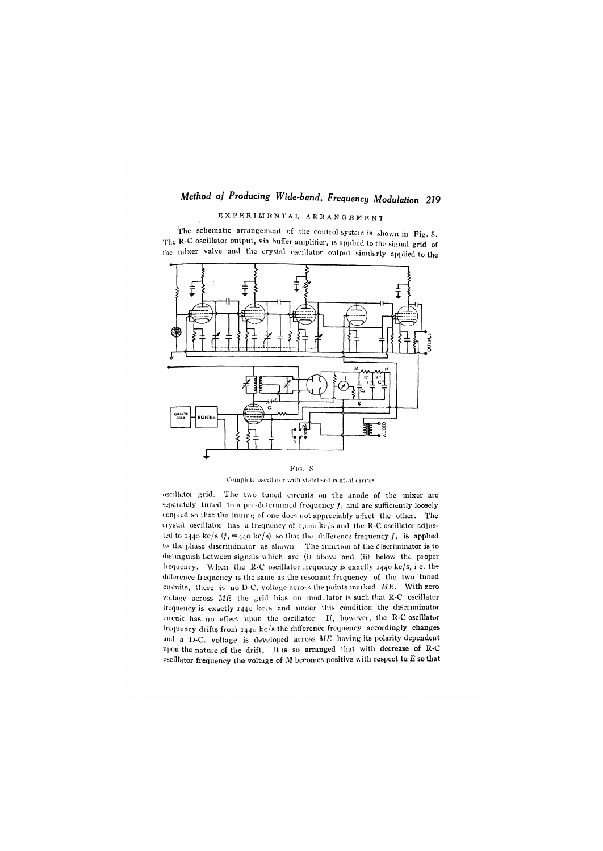# $R$  **X P K R I M I N T A L A R R A N G R M K N T**

The schematic arrangement of the control system is shown in Fig. 8. The R-C oscillator output, via buffer amplifier, is applied to the signal grid of Ihc mixer valve and the crystal oscillator output sinnlarly applied to the



FIG. 8 Complete oscillator with stabilised central carrier

oscillatoi grid. The two tuned circuits on the anode of the mixer are separately tuned to a pre-determined frequency  $f<sub>x</sub>$  and are sufficiently loosely coupled so that the tuumg of one does not appreciably affect the other. The ciystal oscillatoi has a frequency of  $1,000$  kc/s and the R-C oscillator adjusted to  $1440$  kc/s  $(f_1 = 440$  kc/s) so that the difference frequency  $f_i$  is applied to the phase discriminator as shown The function of the discriminator is to distinguish between signals which are (i) above and (ii) below the proper frequency. When the R-C oscillator frequency is exactly  $1440 \text{ kg/s}$ , i e. the difference frequency is the same as the resonant frequency of the two 'tuned cucuits, there is no D C. voltage across the points marked ME. With zero voltage across *ME* the grid bias on modulator is such that R-C oscillator Irequency is exactly  $1440$  kc/s and under this condition the discriminator encuit has no effect upon the oscillator If, however, the R-C oscillator frequency drifts froni 1440 kc/s the difference frequency accordingly changes and a D-C. voltage is developed across  $ME$  having its polarity dependent tipon the nature of the drift. Jt is so arranged that with decrease of R-C <sup>oscillator</sup> frequency the voltage of M becomes positive with respect to *E* so that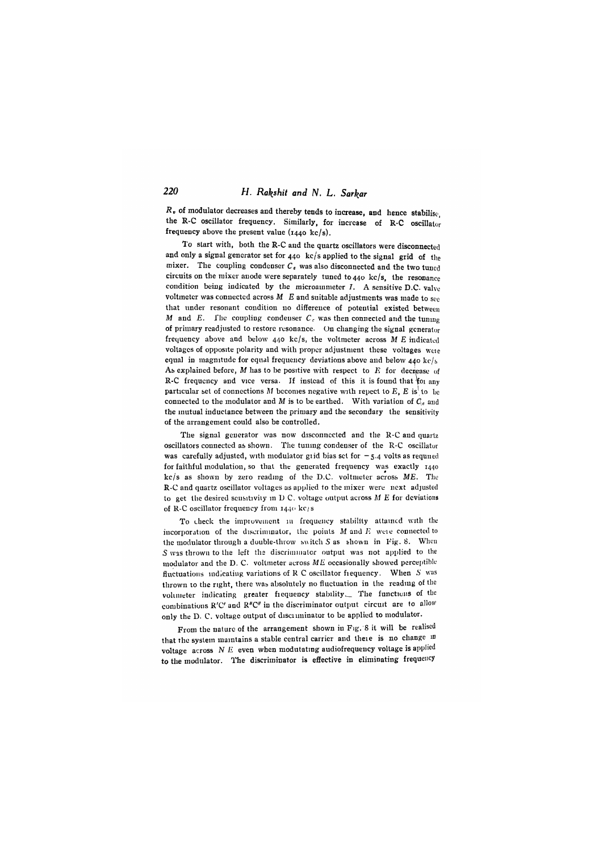# *220 H. Ral^shit and N, L. Sarkar*

*Rv* of modulator decreases aud thereby tends to increase, and hence stabilise, the R-C oscillator frequency. Similarly, for increase of R-C oscillator frequency above the present value  $(1440 \text{ kg/s})$ .

To start with, both the R-C and the quartz oscillators were disconnected and only a signal generator set for 440 kc/s applied to the signal grid of the mixer. The coupling condenser  $C_c$  was also disconnected and the two tuned circuits on the mixer anode were separately tuned to  $440 \text{ kc/s}$ , the resonance condition being indicated by the microainmeter  $I$ . A sensitive D.C. valve voltmeter was connected across  $M$   $E$  and suitable adjustments was made to see that under resonant condition no difference of potential existed between *M* and *E*. The coupling condenser  $C_c$  was then connected and the tuning of primary readjusted to restore resonance. On changing the signal generator frequency above and below 440 kc/s, the voltmeter across M *E* indicated voltages of opposite polarity and with proper adjustment these voltages wcie equal in magnitude for equal frequency deviations above and below 440 kc/s As explained before,  $M$  has to be positive with respect to  $E$  for decrease of R-C frequency and vice versa. If instead of this it is found that foi any particular set of connections M becomes negative with repect to  $E$ ,  $E$  is to be connected to the modulator and M is to be earthed. With variation of  $C_c$  and the mutual inductance between the primary and the secondary the sensitivity of the arrangement could also be controlled.

The signal generator was now disconnected and the R-C and quartz oscillators connected as shown. The tuning condenser of the R-C oscillator was carefully adjusted, with modulator giid bias set for  $-5.4$  volts as required for faithful modulation, so that the generated frequency was exactly 1440 kc/s as shown by zero reading of the D.C. voltmeter across *ME,* The R-C and quartz oscillator voltages as applied to the mixer were next adjusted to get the desired scusitivity in D C. voltage output across *M E* for deviations of R-C oscillator frequency from 1440 kc/s

To check the improvement in frequency stability attained with the incorporation of the discriminator, the points  $M$  and  $E$  weie connected to the modulator through a double-throw switch *S* as shown in Fig. 8. When S was thrown to the left the discriminator output was not applied to the modulator aud the D, C. voltmeter across *ME* occasionally showed perceptible fluctuations indicating variations of R C oscillator frequency. When  $S$  was tlirown to the right, there was absolutely no fluctuation in the reading of the volimeter indicating greater fiequency stability\_ The functions of the combinations R'C' and R"C" in the discriminator output circuit are to allow only the D. C. voltage output of discriminator to be applied to modulator.

From the nature of the arrangement shown in Fig. 8 it will be realised that the system maintains a stable central carrier and there is no change in voltage across N E even when modutating audiofrequency voltage is applied to the modulator. The discriminator is effective in eliminating frequency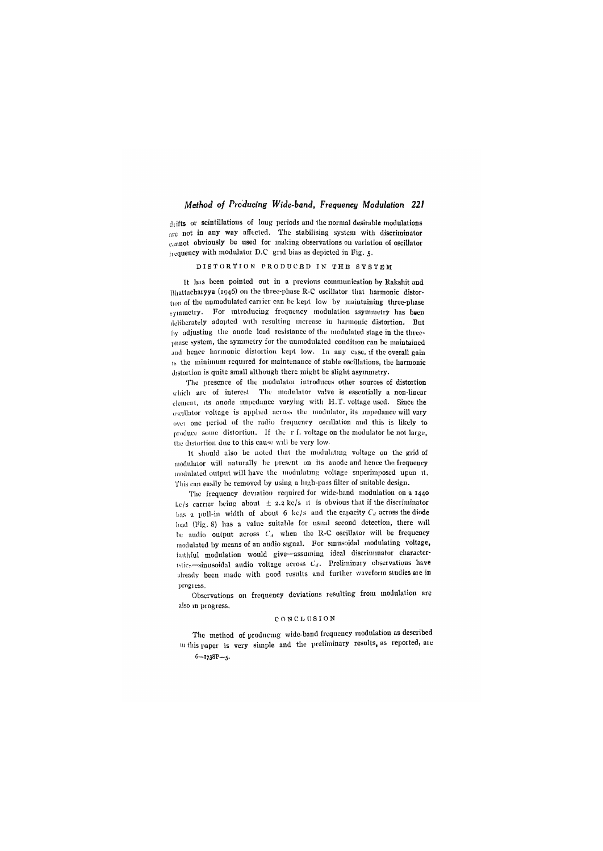$d$ <sub>l</sub>ifts or scintillations of long periods and the normal desirable modulations are not in any way affected. The stabilising system with discriminator cannot obviously be used for making observations on variation of oscillator hequeucy with modulator D.C grid bias as depicted in Tig. 5.

#### DISTORTION PRODUCED IN THE SYSTEM

It has been pointed out in a previous communication by Rakshit and Bliattacharyya (1946) on the three-phase R-C oscillator that harmonic distortion of the unmodulated cariicr can be kept low by maintaining three-phase symmetry. For introducing frequency modulation asymmetry has been deliberately adopted with resulting increase in harnionic distortion. But by adjusting the anode load resistance of the modulated stage in the threephase system, the symmetry for the unmodulated condition can be maintained and hence harmonic distortion kept low. In any case, if the overall gain  $h<sub>b</sub>$  the minimum required for maintenance of stable oscillations, the harmonic distortion is quite small although there might be slight asymmetry.

The presence of the modulatoi introduces other sources of distortion which are of interest The modulator valve is essentially a non-linear clement, its anode impedance varying with H.T. voltage used. Since the oscillator voltage is applied across the modulator, its impedance will vary ovei one period of the radio frequency oscillation and this is likely to produce some dislorlioii. If the r f. voltage on the modulator be not large, the distortion due to this cause will be very low.

It should also be noted that the modulating voltage on the grid of modulator will naturally be present on its anode and hence the frequency nindulated output will have the modulating voltage superimposed upon it. This can easily be removed by using a high-pass filter of suitable design.

The frequency deviation required for wide-band modulation on a 1440 kc/s carrier being about  $\pm$  2.2 kc/s it is obvious that if the discriminator has a pull-in width of about 6 kc/s and the capacity  $C_d$  across the diode load (Fig. 8) has a value suitable for usual second detection, there will be audio output across  $C_d$  when the R-C oscillator will be frequency modulated by means of an audio signal. For sinusoidal modulating voltage, laitliful modulation would give— assuming ideal discriminator characteristics-sinusoidal audio voltage across  $C_d$ . Preliminary observations have already been made with good results and further waveform studies are in prngiess.

Observations on frequency deviations resulting from modulation are also m progress,

#### CONCLUSION

The method of producing wide-band frequency modulation as described 111 this paper is very simple and the preliminary results, as reported, are  $6 - 1738P - 5$ .